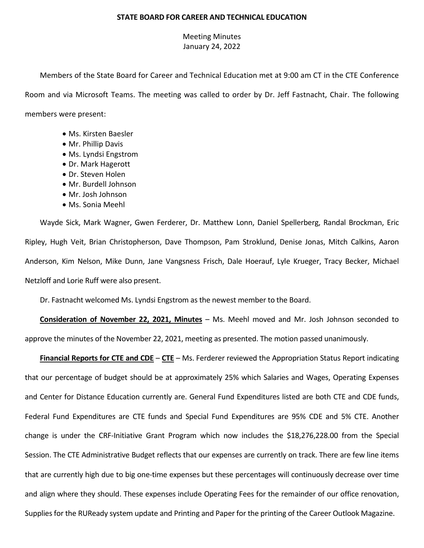## **STATE BOARD FOR CAREER AND TECHNICAL EDUCATION**

## Meeting Minutes January 24, 2022

Members of the State Board for Career and Technical Education met at 9:00 am CT in the CTE Conference Room and via Microsoft Teams. The meeting was called to order by Dr. Jeff Fastnacht, Chair. The following members were present:

- Ms. Kirsten Baesler
- Mr. Phillip Davis
- Ms. Lyndsi Engstrom
- Dr. Mark Hagerott
- Dr. Steven Holen
- Mr. Burdell Johnson
- Mr. Josh Johnson
- Ms. Sonia Meehl

Wayde Sick, Mark Wagner, Gwen Ferderer, Dr. Matthew Lonn, Daniel Spellerberg, Randal Brockman, Eric Ripley, Hugh Veit, Brian Christopherson, Dave Thompson, Pam Stroklund, Denise Jonas, Mitch Calkins, Aaron Anderson, Kim Nelson, Mike Dunn, Jane Vangsness Frisch, Dale Hoerauf, Lyle Krueger, Tracy Becker, Michael Netzloff and Lorie Ruff were also present.

Dr. Fastnacht welcomed Ms. Lyndsi Engstrom as the newest member to the Board.

**Consideration of November 22, 2021, Minutes** – Ms. Meehl moved and Mr. Josh Johnson seconded to approve the minutes of the November 22, 2021, meeting as presented. The motion passed unanimously.

**Financial Reports for CTE and CDE** – **CTE** – Ms. Ferderer reviewed the Appropriation Status Report indicating that our percentage of budget should be at approximately 25% which Salaries and Wages, Operating Expenses and Center for Distance Education currently are. General Fund Expenditures listed are both CTE and CDE funds, Federal Fund Expenditures are CTE funds and Special Fund Expenditures are 95% CDE and 5% CTE. Another change is under the CRF-Initiative Grant Program which now includes the \$18,276,228.00 from the Special Session. The CTE Administrative Budget reflects that our expenses are currently on track. There are few line items that are currently high due to big one-time expenses but these percentages will continuously decrease over time and align where they should. These expenses include Operating Fees for the remainder of our office renovation, Supplies for the RUReady system update and Printing and Paper for the printing of the Career Outlook Magazine.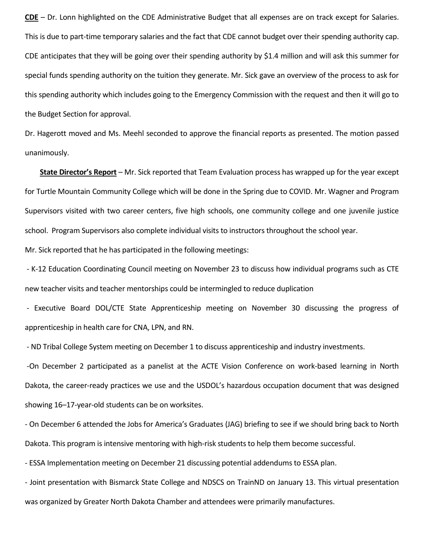**CDE** – Dr. Lonn highlighted on the CDE Administrative Budget that all expenses are on track except for Salaries. This is due to part-time temporary salaries and the fact that CDE cannot budget over their spending authority cap. CDE anticipates that they will be going over their spending authority by \$1.4 million and will ask this summer for special funds spending authority on the tuition they generate. Mr. Sick gave an overview of the process to ask for this spending authority which includes going to the Emergency Commission with the request and then it will go to the Budget Section for approval.

Dr. Hagerott moved and Ms. Meehl seconded to approve the financial reports as presented. The motion passed unanimously.

**State Director's Report** – Mr. Sick reported that Team Evaluation process has wrapped up for the year except for Turtle Mountain Community College which will be done in the Spring due to COVID. Mr. Wagner and Program Supervisors visited with two career centers, five high schools, one community college and one juvenile justice school. Program Supervisors also complete individual visits to instructors throughout the school year. Mr. Sick reported that he has participated in the following meetings:

- K-12 Education Coordinating Council meeting on November 23 to discuss how individual programs such as CTE new teacher visits and teacher mentorships could be intermingled to reduce duplication

- Executive Board DOL/CTE State Apprenticeship meeting on November 30 discussing the progress of apprenticeship in health care for CNA, LPN, and RN.

- ND Tribal College System meeting on December 1 to discuss apprenticeship and industry investments.

-On December 2 participated as a panelist at the ACTE Vision Conference on work-based learning in North Dakota, the career-ready practices we use and the USDOL's hazardous occupation document that was designed showing 16–17-year-old students can be on worksites.

- On December 6 attended the Jobs for America's Graduates (JAG) briefing to see if we should bring back to North Dakota. This program is intensive mentoring with high-risk students to help them become successful.

- ESSA Implementation meeting on December 21 discussing potential addendums to ESSA plan.

- Joint presentation with Bismarck State College and NDSCS on TrainND on January 13. This virtual presentation was organized by Greater North Dakota Chamber and attendees were primarily manufactures.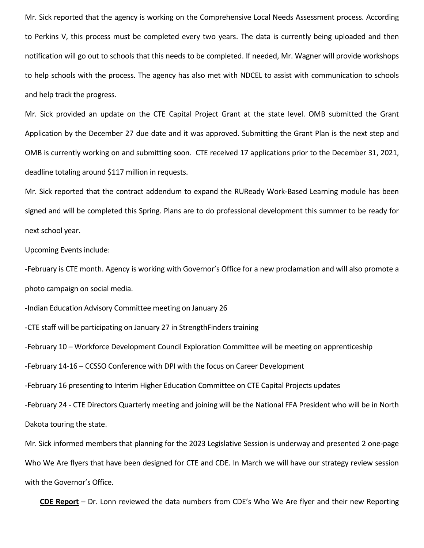Mr. Sick reported that the agency is working on the Comprehensive Local Needs Assessment process. According to Perkins V, this process must be completed every two years. The data is currently being uploaded and then notification will go out to schools that this needs to be completed. If needed, Mr. Wagner will provide workshops to help schools with the process. The agency has also met with NDCEL to assist with communication to schools and help track the progress.

Mr. Sick provided an update on the CTE Capital Project Grant at the state level. OMB submitted the Grant Application by the December 27 due date and it was approved. Submitting the Grant Plan is the next step and OMB is currently working on and submitting soon. CTE received 17 applications prior to the December 31, 2021, deadline totaling around \$117 million in requests.

Mr. Sick reported that the contract addendum to expand the RUReady Work-Based Learning module has been signed and will be completed this Spring. Plans are to do professional development this summer to be ready for next school year.

Upcoming Events include:

-February is CTE month. Agency is working with Governor's Office for a new proclamation and will also promote a photo campaign on social media.

-Indian Education Advisory Committee meeting on January 26

-CTE staff will be participating on January 27 in StrengthFinders training

-February 10 – Workforce Development Council Exploration Committee will be meeting on apprenticeship

-February 14-16 – CCSSO Conference with DPI with the focus on Career Development

-February 16 presenting to Interim Higher Education Committee on CTE Capital Projects updates

-February 24 - CTE Directors Quarterly meeting and joining will be the National FFA President who will be in North Dakota touring the state.

Mr. Sick informed members that planning for the 2023 Legislative Session is underway and presented 2 one-page Who We Are flyers that have been designed for CTE and CDE. In March we will have our strategy review session with the Governor's Office.

**CDE Report** – Dr. Lonn reviewed the data numbers from CDE's Who We Are flyer and their new Reporting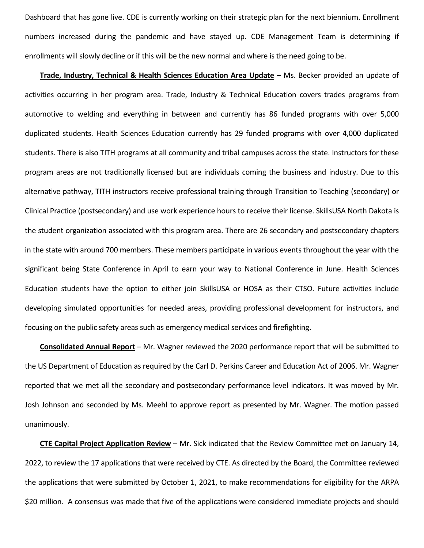Dashboard that has gone live. CDE is currently working on their strategic plan for the next biennium. Enrollment numbers increased during the pandemic and have stayed up. CDE Management Team is determining if enrollments will slowly decline or if this will be the new normal and where is the need going to be.

**Trade, Industry, Technical & Health Sciences Education Area Update** – Ms. Becker provided an update of activities occurring in her program area. Trade, Industry & Technical Education covers trades programs from automotive to welding and everything in between and currently has 86 funded programs with over 5,000 duplicated students. Health Sciences Education currently has 29 funded programs with over 4,000 duplicated students. There is also TITH programs at all community and tribal campuses across the state. Instructors for these program areas are not traditionally licensed but are individuals coming the business and industry. Due to this alternative pathway, TITH instructors receive professional training through Transition to Teaching (secondary) or Clinical Practice (postsecondary) and use work experience hours to receive their license. SkillsUSA North Dakota is the student organization associated with this program area. There are 26 secondary and postsecondary chapters in the state with around 700 members. These members participate in various events throughout the year with the significant being State Conference in April to earn your way to National Conference in June. Health Sciences Education students have the option to either join SkillsUSA or HOSA as their CTSO. Future activities include developing simulated opportunities for needed areas, providing professional development for instructors, and focusing on the public safety areas such as emergency medical services and firefighting.

**Consolidated Annual Report** – Mr. Wagner reviewed the 2020 performance report that will be submitted to the US Department of Education as required by the Carl D. Perkins Career and Education Act of 2006. Mr. Wagner reported that we met all the secondary and postsecondary performance level indicators. It was moved by Mr. Josh Johnson and seconded by Ms. Meehl to approve report as presented by Mr. Wagner. The motion passed unanimously.

**CTE Capital Project Application Review** – Mr. Sick indicated that the Review Committee met on January 14, 2022, to review the 17 applications that were received by CTE. As directed by the Board, the Committee reviewed the applications that were submitted by October 1, 2021, to make recommendations for eligibility for the ARPA \$20 million. A consensus was made that five of the applications were considered immediate projects and should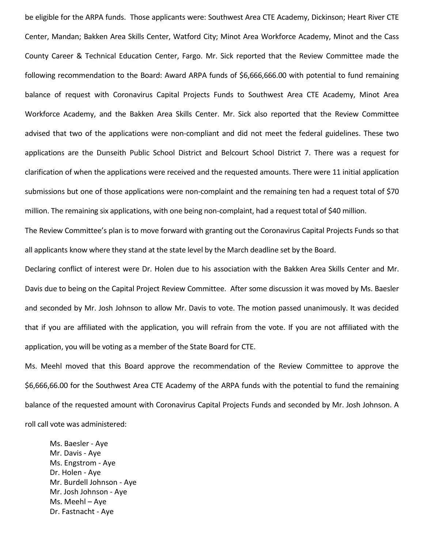be eligible for the ARPA funds. Those applicants were: Southwest Area CTE Academy, Dickinson; Heart River CTE Center, Mandan; Bakken Area Skills Center, Watford City; Minot Area Workforce Academy, Minot and the Cass County Career & Technical Education Center, Fargo. Mr. Sick reported that the Review Committee made the following recommendation to the Board: Award ARPA funds of \$6,666,666.00 with potential to fund remaining balance of request with Coronavirus Capital Projects Funds to Southwest Area CTE Academy, Minot Area Workforce Academy, and the Bakken Area Skills Center. Mr. Sick also reported that the Review Committee advised that two of the applications were non-compliant and did not meet the federal guidelines. These two applications are the Dunseith Public School District and Belcourt School District 7. There was a request for clarification of when the applications were received and the requested amounts. There were 11 initial application submissions but one of those applications were non-complaint and the remaining ten had a request total of \$70 million. The remaining six applications, with one being non-complaint, had a request total of \$40 million.

The Review Committee's plan is to move forward with granting out the Coronavirus Capital Projects Funds so that all applicants know where they stand at the state level by the March deadline set by the Board.

Declaring conflict of interest were Dr. Holen due to his association with the Bakken Area Skills Center and Mr. Davis due to being on the Capital Project Review Committee. After some discussion it was moved by Ms. Baesler and seconded by Mr. Josh Johnson to allow Mr. Davis to vote. The motion passed unanimously. It was decided that if you are affiliated with the application, you will refrain from the vote. If you are not affiliated with the application, you will be voting as a member of the State Board for CTE.

Ms. Meehl moved that this Board approve the recommendation of the Review Committee to approve the \$6,666,66.00 for the Southwest Area CTE Academy of the ARPA funds with the potential to fund the remaining balance of the requested amount with Coronavirus Capital Projects Funds and seconded by Mr. Josh Johnson. A roll call vote was administered:

Ms. Baesler - Aye Mr. Davis - Aye Ms. Engstrom - Aye Dr. Holen - Aye Mr. Burdell Johnson - Aye Mr. Josh Johnson - Aye Ms. Meehl – Aye Dr. Fastnacht - Aye